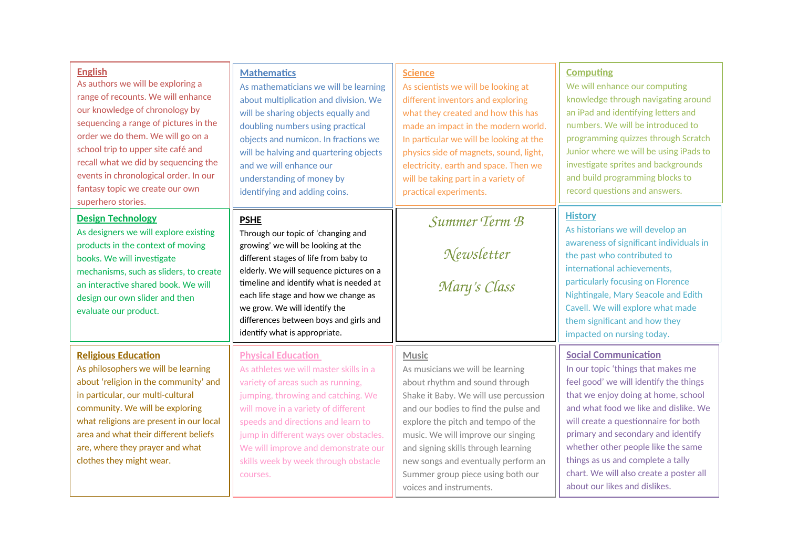| <b>English</b><br>As authors we will be exploring a<br>range of recounts. We will enhance<br>our knowledge of chronology by<br>sequencing a range of pictures in the<br>order we do them. We will go on a<br>school trip to upper site café and<br>recall what we did by sequencing the<br>events in chronological order. In our<br>fantasy topic we create our own<br>superhero stories. | <b>Mathematics</b><br>As mathematicians we will be learning<br>about multiplication and division. We<br>will be sharing objects equally and<br>doubling numbers using practical<br>objects and numicon. In fractions we<br>will be halving and quartering objects<br>and we will enhance our<br>understanding of money by<br>identifying and adding coins.                 | <b>Science</b><br>As scientists we will be looking at<br>different inventors and exploring<br>what they created and how this has<br>made an impact in the modern world.<br>In particular we will be looking at the<br>physics side of magnets, sound, light,<br>electricity, earth and space. Then we<br>will be taking part in a variety of<br>practical experiments.                 | <b>Computing</b><br>We will enhance our computing<br>knowledge through navigating around<br>an iPad and identifying letters and<br>numbers. We will be introduced to<br>programming quizzes through Scratch<br>Junior where we will be using iPads to<br>investigate sprites and backgrounds<br>and build programming blocks to<br>record questions and answers.                                                                 |
|-------------------------------------------------------------------------------------------------------------------------------------------------------------------------------------------------------------------------------------------------------------------------------------------------------------------------------------------------------------------------------------------|----------------------------------------------------------------------------------------------------------------------------------------------------------------------------------------------------------------------------------------------------------------------------------------------------------------------------------------------------------------------------|----------------------------------------------------------------------------------------------------------------------------------------------------------------------------------------------------------------------------------------------------------------------------------------------------------------------------------------------------------------------------------------|----------------------------------------------------------------------------------------------------------------------------------------------------------------------------------------------------------------------------------------------------------------------------------------------------------------------------------------------------------------------------------------------------------------------------------|
| <b>Design Technology</b><br>As designers we will explore existing<br>products in the context of moving<br>books. We will investigate<br>mechanisms, such as sliders, to create<br>an interactive shared book. We will<br>design our own slider and then<br>evaluate our product.                                                                                                          | <b>PSHE</b><br>Through our topic of 'changing and<br>growing' we will be looking at the<br>different stages of life from baby to<br>elderly. We will sequence pictures on a<br>timeline and identify what is needed at<br>each life stage and how we change as<br>we grow. We will identify the<br>differences between boys and girls and<br>identify what is appropriate. | Summer Term B<br>Newsletter<br>Mary's Class                                                                                                                                                                                                                                                                                                                                            | <b>History</b><br>As historians we will develop an<br>awareness of significant individuals in<br>the past who contributed to<br>international achievements,<br>particularly focusing on Florence<br>Nightingale, Mary Seacole and Edith<br>Cavell. We will explore what made<br>them significant and how they<br>impacted on nursing today.                                                                                      |
| <b>Religious Education</b><br>As philosophers we will be learning<br>about 'religion in the community' and<br>in particular, our multi-cultural<br>community. We will be exploring<br>what religions are present in our local<br>area and what their different beliefs<br>are, where they prayer and what<br>clothes they might wear.                                                     | <b>Physical Education</b><br>As athletes we will master skills in a<br>variety of areas such as running,<br>jumping, throwing and catching. We<br>will move in a variety of different<br>speeds and directions and learn to<br>jump in different ways over obstacles.<br>We will improve and demonstrate our<br>skills week by week through obstacle<br>courses.           | Music<br>As musicians we will be learning<br>about rhythm and sound through<br>Shake it Baby. We will use percussion<br>and our bodies to find the pulse and<br>explore the pitch and tempo of the<br>music. We will improve our singing<br>and signing skills through learning<br>new songs and eventually perform an<br>Summer group piece using both our<br>voices and instruments. | <b>Social Communication</b><br>In our topic 'things that makes me<br>feel good' we will identify the things<br>that we enjoy doing at home, school<br>and what food we like and dislike. We<br>will create a questionnaire for both<br>primary and secondary and identify<br>whether other people like the same<br>things as us and complete a tally<br>chart. We will also create a poster all<br>about our likes and dislikes. |